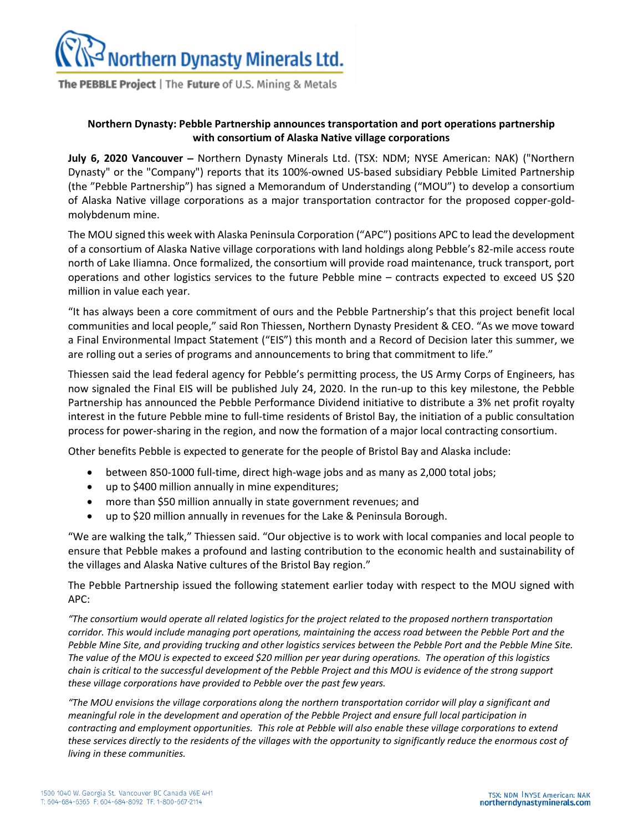

The PEBBLE Project | The Future of U.S. Mining & Metals

## **Northern Dynasty: Pebble Partnership announces transportation and port operations partnership with consortium of Alaska Native village corporations**

**July 6, 2020 Vancouver** – Northern Dynasty Minerals Ltd. (TSX: NDM; NYSE American: NAK) ("Northern Dynasty" or the "Company") reports that its 100%-owned US-based subsidiary Pebble Limited Partnership (the "Pebble Partnership") has signed a Memorandum of Understanding ("MOU") to develop a consortium of Alaska Native village corporations as a major transportation contractor for the proposed copper-goldmolybdenum mine.

The MOU signed this week with Alaska Peninsula Corporation ("APC") positions APC to lead the development of a consortium of Alaska Native village corporations with land holdings along Pebble's 82-mile access route north of Lake Iliamna. Once formalized, the consortium will provide road maintenance, truck transport, port operations and other logistics services to the future Pebble mine – contracts expected to exceed US \$20 million in value each year.

"It has always been a core commitment of ours and the Pebble Partnership's that this project benefit local communities and local people," said Ron Thiessen, Northern Dynasty President & CEO. "As we move toward a Final Environmental Impact Statement ("EIS") this month and a Record of Decision later this summer, we are rolling out a series of programs and announcements to bring that commitment to life."

Thiessen said the lead federal agency for Pebble's permitting process, the US Army Corps of Engineers, has now signaled the Final EIS will be published July 24, 2020. In the run-up to this key milestone, the Pebble Partnership has announced the Pebble Performance Dividend initiative to distribute a 3% net profit royalty interest in the future Pebble mine to full-time residents of Bristol Bay, the initiation of a public consultation process for power-sharing in the region, and now the formation of a major local contracting consortium.

Other benefits Pebble is expected to generate for the people of Bristol Bay and Alaska include:

- between 850-1000 full-time, direct high-wage jobs and as many as 2,000 total jobs;
- up to \$400 million annually in mine expenditures;
- more than \$50 million annually in state government revenues; and
- up to \$20 million annually in revenues for the Lake & Peninsula Borough.

"We are walking the talk," Thiessen said. "Our objective is to work with local companies and local people to ensure that Pebble makes a profound and lasting contribution to the economic health and sustainability of the villages and Alaska Native cultures of the Bristol Bay region."

The Pebble Partnership issued the following statement earlier today with respect to the MOU signed with APC:

*"The consortium would operate all related logistics for the project related to the proposed northern transportation*  corridor. This would include managing port operations, maintaining the access road between the Pebble Port and the *Pebble Mine Site, and providing trucking and other logistics services between the Pebble Port and the Pebble Mine Site. The value of the MOU is expected to exceed \$20 million per year during operations. The operation of this logistics chain is critical to the successful development of the Pebble Project and this MOU is evidence of the strong support these village corporations have provided to Pebble over the past few years.*

*"The MOU envisions the village corporations along the northern transportation corridor will play a significant and meaningful role in the development and operation of the Pebble Project and ensure full local participation in contracting and employment opportunities. This role at Pebble will also enable these village corporations to extend these services directly to the residents of the villages with the opportunity to significantly reduce the enormous cost of living in these communities.*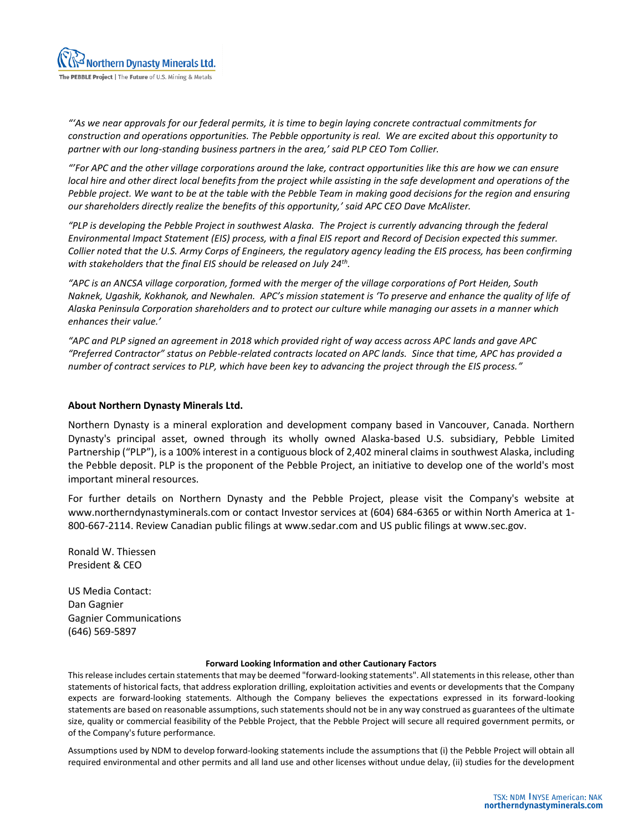*"'As we near approvals for our federal permits, it is time to begin laying concrete contractual commitments for construction and operations opportunities. The Pebble opportunity is real. We are excited about this opportunity to partner with our long-standing business partners in the area,' said PLP CEO Tom Collier.*

*"'For APC and the other village corporations around the lake, contract opportunities like this are how we can ensure local hire and other direct local benefits from the project while assisting in the safe development and operations of the Pebble project. We want to be at the table with the Pebble Team in making good decisions for the region and ensuring our shareholders directly realize the benefits of this opportunity,' said APC CEO Dave McAlister.*

*"PLP is developing the Pebble Project in southwest Alaska. The Project is currently advancing through the federal Environmental Impact Statement (EIS) process, with a final EIS report and Record of Decision expected this summer. Collier noted that the U.S. Army Corps of Engineers, the regulatory agency leading the EIS process, has been confirming with stakeholders that the final EIS should be released on July 24th .*

*"APC is an ANCSA village corporation, formed with the merger of the village corporations of Port Heiden, South Naknek, Ugashik, Kokhanok, and Newhalen. APC's mission statement is 'To preserve and enhance the quality of life of Alaska Peninsula Corporation shareholders and to protect our culture while managing our assets in a manner which enhances their value.'*

*"APC and PLP signed an agreement in 2018 which provided right of way access across APC lands and gave APC "Preferred Contractor" status on Pebble-related contracts located on APC lands. Since that time, APC has provided a number of contract services to PLP, which have been key to advancing the project through the EIS process."*

## **About Northern Dynasty Minerals Ltd.**

Northern Dynasty is a mineral exploration and development company based in Vancouver, Canada. Northern Dynasty's principal asset, owned through its wholly owned Alaska-based U.S. subsidiary, Pebble Limited Partnership ("PLP"), is a 100% interest in a contiguous block of 2,402 mineral claims in southwest Alaska, including the Pebble deposit. PLP is the proponent of the Pebble Project, an initiative to develop one of the world's most important mineral resources.

For further details on Northern Dynasty and the Pebble Project, please visit the Company's website at www.northerndynastyminerals.com or contact Investor services at (604) 684-6365 or within North America at 1- 800-667-2114. Review Canadian public filings at www.sedar.com and US public filings at www.sec.gov.

Ronald W. Thiessen President & CEO

US Media Contact: Dan Gagnier Gagnier Communications (646) 569-5897

## **Forward Looking Information and other Cautionary Factors**

This release includes certain statements that may be deemed "forward-looking statements". All statements in this release, other than statements of historical facts, that address exploration drilling, exploitation activities and events or developments that the Company expects are forward-looking statements. Although the Company believes the expectations expressed in its forward-looking statements are based on reasonable assumptions, such statements should not be in any way construed as guarantees of the ultimate size, quality or commercial feasibility of the Pebble Project, that the Pebble Project will secure all required government permits, or of the Company's future performance.

Assumptions used by NDM to develop forward-looking statements include the assumptions that (i) the Pebble Project will obtain all required environmental and other permits and all land use and other licenses without undue delay, (ii) studies for the development